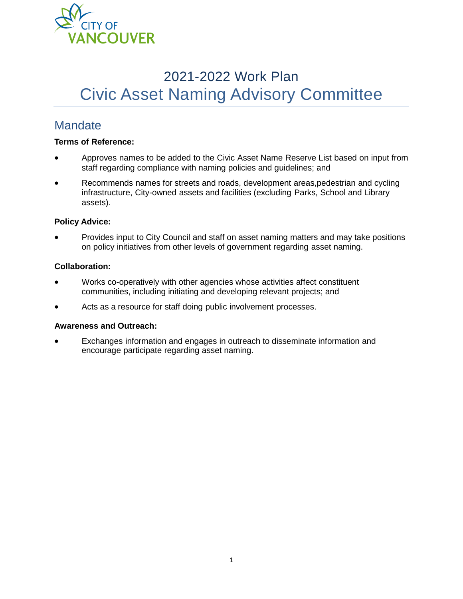

# 2021-2022 Work Plan Civic Asset Naming Advisory Committee

### **Mandate**

#### **Terms of Reference:**

- Approves names to be added to the Civic Asset Name Reserve List based on input from staff regarding compliance with naming policies and guidelines; and
- Recommends names for streets and roads, development areas,pedestrian and cycling infrastructure, City-owned assets and facilities (excluding Parks, School and Library assets).

#### **Policy Advice:**

• Provides input to City Council and staff on asset naming matters and may take positions on policy initiatives from other levels of government regarding asset naming.

#### **Collaboration:**

- Works co-operatively with other agencies whose activities affect constituent communities, including initiating and developing relevant projects; and
- Acts as a resource for staff doing public involvement processes.

#### **Awareness and Outreach:**

• Exchanges information and engages in outreach to disseminate information and encourage participate regarding asset naming.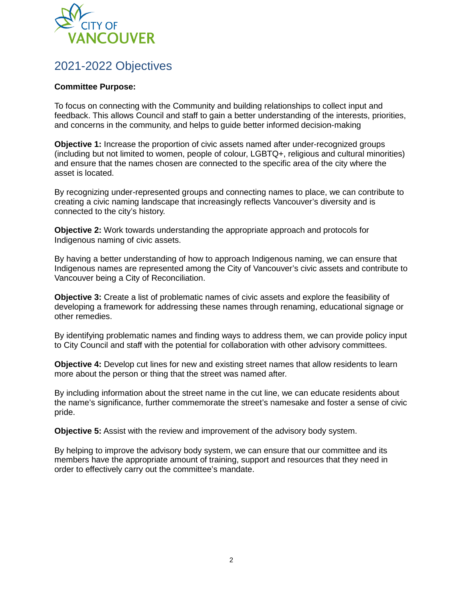

### 2021-2022 Objectives

#### **Committee Purpose:**

To focus on connecting with the Community and building relationships to collect input and feedback. This allows Council and staff to gain a better understanding of the interests, priorities, and concerns in the community, and helps to guide better informed decision-making

**Objective 1:** Increase the proportion of civic assets named after under-recognized groups (including but not limited to women, people of colour, LGBTQ+, religious and cultural minorities) and ensure that the names chosen are connected to the specific area of the city where the asset is located.

By recognizing under-represented groups and connecting names to place, we can contribute to creating a civic naming landscape that increasingly reflects Vancouver's diversity and is connected to the city's history.

**Objective 2:** Work towards understanding the appropriate approach and protocols for Indigenous naming of civic assets.

By having a better understanding of how to approach Indigenous naming, we can ensure that Indigenous names are represented among the City of Vancouver's civic assets and contribute to Vancouver being a City of Reconciliation.

**Objective 3:** Create a list of problematic names of civic assets and explore the feasibility of developing a framework for addressing these names through renaming, educational signage or other remedies.

By identifying problematic names and finding ways to address them, we can provide policy input to City Council and staff with the potential for collaboration with other advisory committees.

**Objective 4:** Develop cut lines for new and existing street names that allow residents to learn more about the person or thing that the street was named after.

By including information about the street name in the cut line, we can educate residents about the name's significance, further commemorate the street's namesake and foster a sense of civic pride.

**Objective 5:** Assist with the review and improvement of the advisory body system.

By helping to improve the advisory body system, we can ensure that our committee and its members have the appropriate amount of training, support and resources that they need in order to effectively carry out the committee's mandate.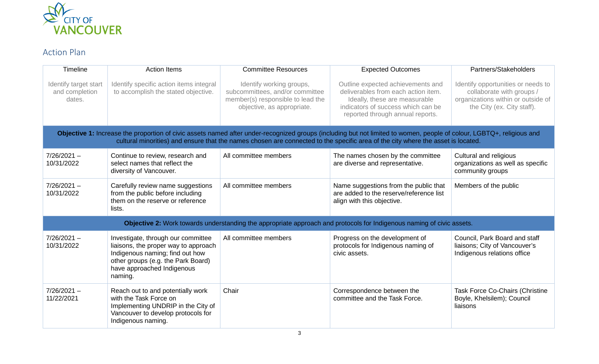

## Action Plan

| Timeline                                                                                                                                                                                                                                                                                                  | <b>Action Items</b>                                                                                                                                                                          | <b>Committee Resources</b>                                                                                                     | <b>Expected Outcomes</b>                                                                                                                                                            | Partners/Stakeholders                                                                                                               |  |  |  |
|-----------------------------------------------------------------------------------------------------------------------------------------------------------------------------------------------------------------------------------------------------------------------------------------------------------|----------------------------------------------------------------------------------------------------------------------------------------------------------------------------------------------|--------------------------------------------------------------------------------------------------------------------------------|-------------------------------------------------------------------------------------------------------------------------------------------------------------------------------------|-------------------------------------------------------------------------------------------------------------------------------------|--|--|--|
| Identify target start<br>and completion<br>dates.                                                                                                                                                                                                                                                         | Identify specific action items integral<br>to accomplish the stated objective.                                                                                                               | Identify working groups,<br>subcommittees, and/or committee<br>member(s) responsible to lead the<br>objective, as appropriate. | Outline expected achievements and<br>deliverables from each action item.<br>Ideally, these are measurable<br>indicators of success which can be<br>reported through annual reports. | Identify opportunities or needs to<br>collaborate with groups /<br>organizations within or outside of<br>the City (ex. City staff). |  |  |  |
| Objective 1: Increase the proportion of civic assets named after under-recognized groups (including but not limited to women, people of colour, LGBTQ+, religious and<br>cultural minorities) and ensure that the names chosen are connected to the specific area of the city where the asset is located. |                                                                                                                                                                                              |                                                                                                                                |                                                                                                                                                                                     |                                                                                                                                     |  |  |  |
| $7/26/2021 -$<br>10/31/2022                                                                                                                                                                                                                                                                               | Continue to review, research and<br>select names that reflect the<br>diversity of Vancouver.                                                                                                 | All committee members                                                                                                          | The names chosen by the committee<br>are diverse and representative.                                                                                                                | Cultural and religious<br>organizations as well as specific<br>community groups                                                     |  |  |  |
| $7/26/2021 -$<br>10/31/2022                                                                                                                                                                                                                                                                               | Carefully review name suggestions<br>from the public before including<br>them on the reserve or reference<br>lists.                                                                          | All committee members                                                                                                          | Name suggestions from the public that<br>are added to the reserve/reference list<br>align with this objective.                                                                      | Members of the public                                                                                                               |  |  |  |
| Objective 2: Work towards understanding the appropriate approach and protocols for Indigenous naming of civic assets.                                                                                                                                                                                     |                                                                                                                                                                                              |                                                                                                                                |                                                                                                                                                                                     |                                                                                                                                     |  |  |  |
| $7/26/2021 -$<br>10/31/2022                                                                                                                                                                                                                                                                               | Investigate, through our committee<br>liaisons, the proper way to approach<br>Indigenous naming; find out how<br>other groups (e.g. the Park Board)<br>have approached Indigenous<br>naming. | All committee members                                                                                                          | Progress on the development of<br>protocols for Indigenous naming of<br>civic assets.                                                                                               | Council, Park Board and staff<br>liaisons; City of Vancouver's<br>Indigenous relations office                                       |  |  |  |
| $7/26/2021 -$<br>11/22/2021                                                                                                                                                                                                                                                                               | Reach out to and potentially work<br>with the Task Force on<br>Implementing UNDRIP in the City of<br>Vancouver to develop protocols for<br>Indigenous naming.                                | Chair                                                                                                                          | Correspondence between the<br>committee and the Task Force.                                                                                                                         | <b>Task Force Co-Chairs (Christine</b><br>Boyle, Khelsilem); Council<br>liaisons                                                    |  |  |  |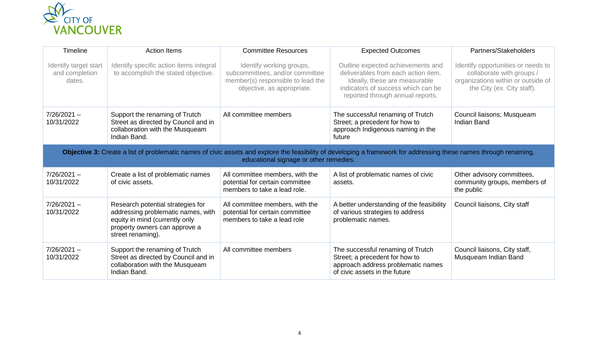

| Timeline                                                                                                                                                                                                     | <b>Action Items</b>                                                                                                                                             | <b>Committee Resources</b>                                                                                                     | <b>Expected Outcomes</b>                                                                                                                                                            | Partners/Stakeholders                                                                                                               |  |  |  |
|--------------------------------------------------------------------------------------------------------------------------------------------------------------------------------------------------------------|-----------------------------------------------------------------------------------------------------------------------------------------------------------------|--------------------------------------------------------------------------------------------------------------------------------|-------------------------------------------------------------------------------------------------------------------------------------------------------------------------------------|-------------------------------------------------------------------------------------------------------------------------------------|--|--|--|
| Identify target start<br>and completion<br>dates.                                                                                                                                                            | Identify specific action items integral<br>to accomplish the stated objective.                                                                                  | Identify working groups,<br>subcommittees, and/or committee<br>member(s) responsible to lead the<br>objective, as appropriate. | Outline expected achievements and<br>deliverables from each action item.<br>Ideally, these are measurable<br>indicators of success which can be<br>reported through annual reports. | Identify opportunities or needs to<br>collaborate with groups /<br>organizations within or outside of<br>the City (ex. City staff). |  |  |  |
| $7/26/2021 -$<br>10/31/2022                                                                                                                                                                                  | Support the renaming of Trutch<br>Street as directed by Council and in<br>collaboration with the Musqueam<br>Indian Band.                                       | All committee members                                                                                                          | The successful renaming of Trutch<br>Street; a precedent for how to<br>approach Indigenous naming in the<br>future                                                                  | Council liaisons; Musqueam<br><b>Indian Band</b>                                                                                    |  |  |  |
| Objective 3: Create a list of problematic names of civic assets and explore the feasibility of developing a framework for addressing these names through renaming,<br>educational signage or other remedies. |                                                                                                                                                                 |                                                                                                                                |                                                                                                                                                                                     |                                                                                                                                     |  |  |  |
| $7/26/2021 -$<br>10/31/2022                                                                                                                                                                                  | Create a list of problematic names<br>of civic assets.                                                                                                          | All committee members, with the<br>potential for certain committee<br>members to take a lead role.                             | A list of problematic names of civic<br>assets.                                                                                                                                     | Other advisory committees,<br>community groups, members of<br>the public                                                            |  |  |  |
| $7/26/2021 -$<br>10/31/2022                                                                                                                                                                                  | Research potential strategies for<br>addressing problematic names, with<br>equity in mind (currently only<br>property owners can approve a<br>street renaming). | All committee members, with the<br>potential for certain committee<br>members to take a lead role                              | A better understanding of the feasibility<br>of various strategies to address<br>problematic names.                                                                                 | Council liaisons, City staff                                                                                                        |  |  |  |
| $7/26/2021 -$<br>10/31/2022                                                                                                                                                                                  | Support the renaming of Trutch<br>Street as directed by Council and in<br>collaboration with the Musqueam<br>Indian Band.                                       | All committee members                                                                                                          | The successful renaming of Trutch<br>Street; a precedent for how to<br>approach address problematic names<br>of civic assets in the future                                          | Council liaisons, City staff,<br>Musqueam Indian Band                                                                               |  |  |  |